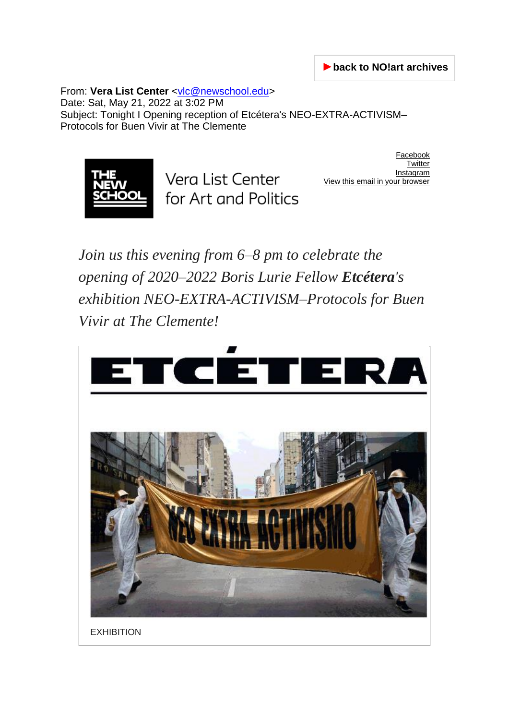►**[back to NO!art archives](https://borislurie.no-art.info/_intro-en.html)**

From: Vera List Center [<vlc@newschool.edu>](mailto:vlc@newschool.edu) Date: Sat, May 21, 2022 at 3:02 PM Subject: Tonight I Opening reception of Etcétera's NEO-EXTRA-ACTIVISM– Protocols for Buen Vivir at The Clemente



Vera List Center for Art and Politics

[Facebook](https://veralistcenter.us3.list-manage.com/track/click?u=8617dcf7e2c00721d554253ec&id=7a1607df49&e=ab8dd4902b) **[Twitter](https://veralistcenter.us3.list-manage.com/track/click?u=8617dcf7e2c00721d554253ec&id=960a320373&e=ab8dd4902b) [Instagram](https://veralistcenter.us3.list-manage.com/track/click?u=8617dcf7e2c00721d554253ec&id=b7ea17fb40&e=ab8dd4902b)** View this email in your br

*Join us this evening from 6–8 pm to celebrate the opening of 2020–2022 Boris Lurie Fellow Etcétera's exhibition NEO-EXTRA-ACTIVISM–Protocols for Buen Vivir at The Clemente!*



**EXHIBITION**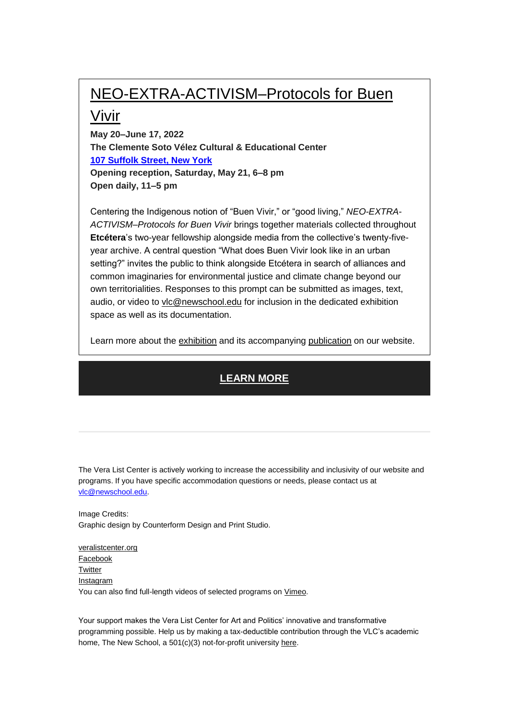## [NEO-EXTRA-ACTIVISM–Protocols for Buen](https://veralistcenter.us3.list-manage.com/track/click?u=8617dcf7e2c00721d554253ec&id=8c59d5a1d7&e=ab8dd4902b)

## [Vivir](https://veralistcenter.us3.list-manage.com/track/click?u=8617dcf7e2c00721d554253ec&id=8c59d5a1d7&e=ab8dd4902b)

**May 20–June 17, 2022 The Clemente Soto Vélez Cultural & Educational Center [107 Suffolk Street, New York](https://www.google.com/maps/search/107+Suffolk+Street,+New+York?entry=gmail&source=g) Opening reception, Saturday, May 21, 6–8 pm Open daily, 11–5 pm**

Centering the Indigenous notion of "Buen Vivir," or "good living," *NEO-EXTRA-ACTIVISM–Protocols for Buen Vivir* brings together materials collected throughout **Etcétera**'s two-year fellowship alongside media from the collective's twenty-fiveyear archive. A central question "What does Buen Vivir look like in an urban setting?" invites the public to think alongside Etcétera in search of alliances and common imaginaries for environmental justice and climate change beyond our own territorialities. Responses to this prompt can be submitted as images, text, audio, or video to [vlc@newschool.edu](mailto:vlc@newschool.edu?subject=Response%3A%20%E2%80%9CWhat%20does%20Buen%20Vivir%20look%20like%20in%20an%20urban%20setting%3F%E2%80%9D) for inclusion in the dedicated exhibition space as well as its documentation.

Learn more about the [exhibition](https://veralistcenter.us3.list-manage.com/track/click?u=8617dcf7e2c00721d554253ec&id=e5f50cbc15&e=ab8dd4902b) and its accompanying [publication](https://veralistcenter.us3.list-manage.com/track/click?u=8617dcf7e2c00721d554253ec&id=305fc54c61&e=ab8dd4902b) on our website.

## **[LEARN MORE](https://veralistcenter.us3.list-manage.com/track/click?u=8617dcf7e2c00721d554253ec&id=7ee66f76cf&e=ab8dd4902b)**

The Vera List Center is actively working to increase the accessibility and inclusivity of our website and programs. If you have specific accommodation questions or needs, please contact us at [vlc@newschool.edu.](mailto:vlc@newschool.edu)

Image Credits: Graphic design by Counterform Design and Print Studio.

[veralistcenter.org](https://veralistcenter.us3.list-manage.com/track/click?u=8617dcf7e2c00721d554253ec&id=1e5170fe76&e=ab8dd4902b) [Facebook](https://veralistcenter.us3.list-manage.com/track/click?u=8617dcf7e2c00721d554253ec&id=d131c917e0&e=ab8dd4902b) **[Twitter](https://veralistcenter.us3.list-manage.com/track/click?u=8617dcf7e2c00721d554253ec&id=67b7c64d5e&e=ab8dd4902b)** [Instagram](https://veralistcenter.us3.list-manage.com/track/click?u=8617dcf7e2c00721d554253ec&id=6c484ad751&e=ab8dd4902b) You can also find full-length videos of selected programs on [Vimeo.](https://veralistcenter.us3.list-manage.com/track/click?u=8617dcf7e2c00721d554253ec&id=06664ee893&e=ab8dd4902b)

Your support makes the Vera List Center for Art and Politics' innovative and transformative programming possible. Help us by making a tax-deductible contribution through the VLC's academic home, The New School, a 501(c)(3) not-for-profit university [here.](https://veralistcenter.us3.list-manage.com/track/click?u=8617dcf7e2c00721d554253ec&id=05e853a1b0&e=ab8dd4902b)